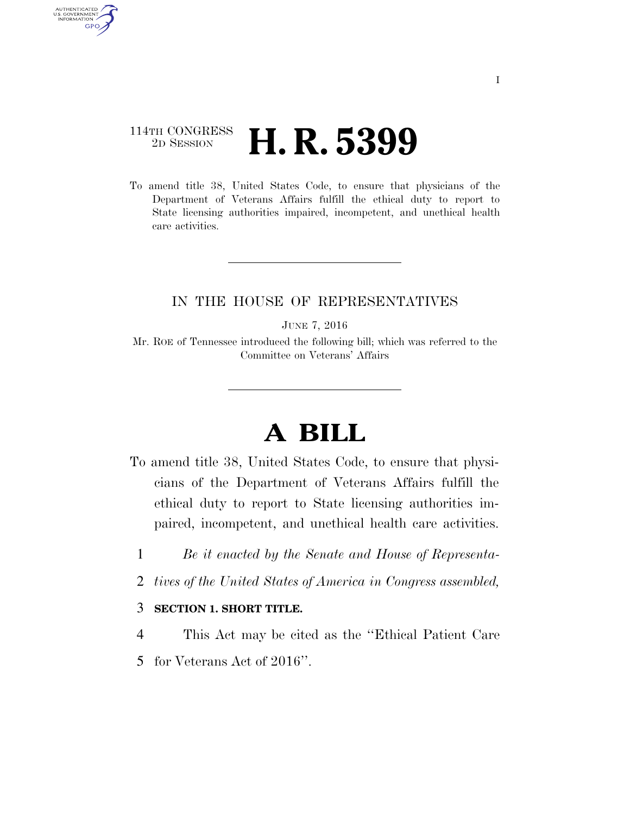### 114TH CONGRESS <sup>2D SESSION</sup> **H. R. 5399**

AUTHENTICATED U.S. GOVERNMENT GPO

> To amend title 38, United States Code, to ensure that physicians of the Department of Veterans Affairs fulfill the ethical duty to report to State licensing authorities impaired, incompetent, and unethical health care activities.

### IN THE HOUSE OF REPRESENTATIVES

JUNE 7, 2016

Mr. ROE of Tennessee introduced the following bill; which was referred to the Committee on Veterans' Affairs

# **A BILL**

- To amend title 38, United States Code, to ensure that physicians of the Department of Veterans Affairs fulfill the ethical duty to report to State licensing authorities impaired, incompetent, and unethical health care activities.
	- 1 *Be it enacted by the Senate and House of Representa-*
	- 2 *tives of the United States of America in Congress assembled,*

#### 3 **SECTION 1. SHORT TITLE.**

- 4 This Act may be cited as the ''Ethical Patient Care
- 5 for Veterans Act of 2016''.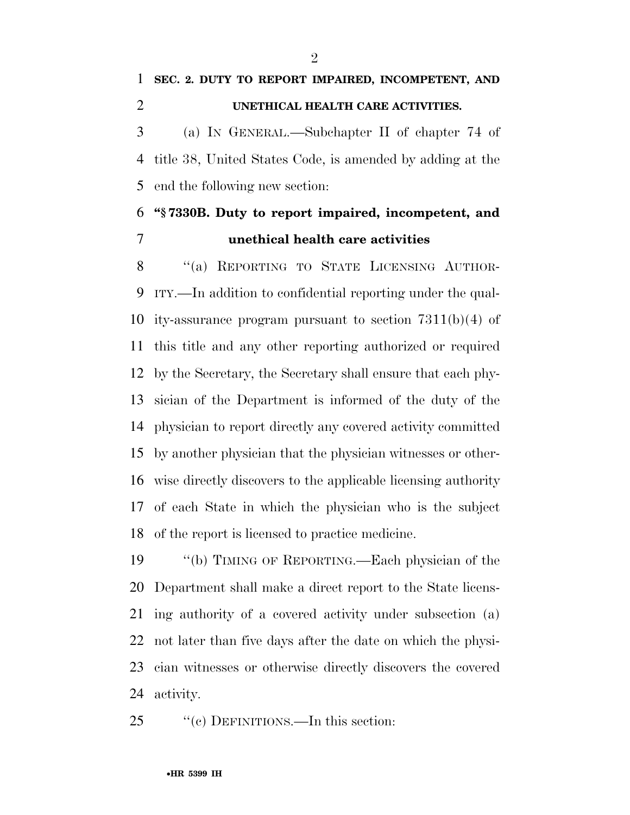## **SEC. 2. DUTY TO REPORT IMPAIRED, INCOMPETENT, AND UNETHICAL HEALTH CARE ACTIVITIES.**

 (a) IN GENERAL.—Subchapter II of chapter 74 of title 38, United States Code, is amended by adding at the end the following new section:

## **''§ 7330B. Duty to report impaired, incompetent, and unethical health care activities**

8 "(a) REPORTING TO STATE LICENSING AUTHOR- ITY.—In addition to confidential reporting under the qual- ity-assurance program pursuant to section 7311(b)(4) of this title and any other reporting authorized or required by the Secretary, the Secretary shall ensure that each phy- sician of the Department is informed of the duty of the physician to report directly any covered activity committed by another physician that the physician witnesses or other- wise directly discovers to the applicable licensing authority of each State in which the physician who is the subject of the report is licensed to practice medicine.

 ''(b) TIMING OF REPORTING.—Each physician of the Department shall make a direct report to the State licens- ing authority of a covered activity under subsection (a) not later than five days after the date on which the physi- cian witnesses or otherwise directly discovers the covered activity.

#### 25 "(c) DEFINITIONS.—In this section: